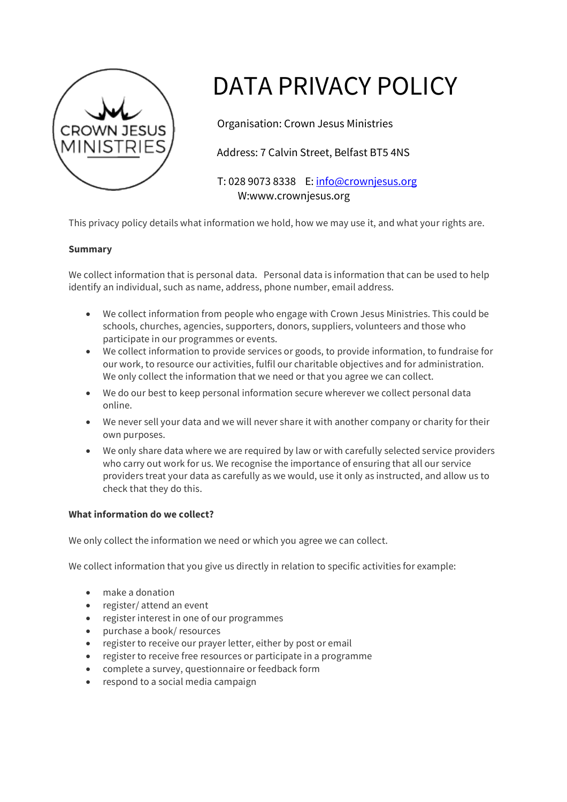

# DATA PRIVACY POLICY

Organisation: Crown Jesus Ministries

Address: 7 Calvin Street, Belfast BT5 4NS

 T: 028 9073 8338 E: info@crownjesus.org W:www.crownjesus.org

This privacy policy details what information we hold, how we may use it, and what your rights are.

# **Summary**

We collect information that is personal data. Personal data is information that can be used to help identify an individual, such as name, address, phone number, email address.

- We collect information from people who engage with Crown Jesus Ministries. This could be schools, churches, agencies, supporters, donors, suppliers, volunteers and those who participate in our programmes or events.
- We collect information to provide services or goods, to provide information, to fundraise for our work, to resource our activities, fulfil our charitable objectives and for administration. We only collect the information that we need or that you agree we can collect.
- We do our best to keep personal information secure wherever we collect personal data online.
- We never sell your data and we will never share it with another company or charity for their own purposes.
- We only share data where we are required by law or with carefully selected service providers who carry out work for us. We recognise the importance of ensuring that all our service providers treat your data as carefully as we would, use it only as instructed, and allow us to check that they do this.

# **What information do we collect?**

We only collect the information we need or which you agree we can collect.

We collect information that you give us directly in relation to specific activities for example:

- make a donation
- register/ attend an event
- register interest in one of our programmes
- purchase a book/ resources
- register to receive our prayer letter, either by post or email
- register to receive free resources or participate in a programme
- complete a survey, questionnaire or feedback form
- respond to a social media campaign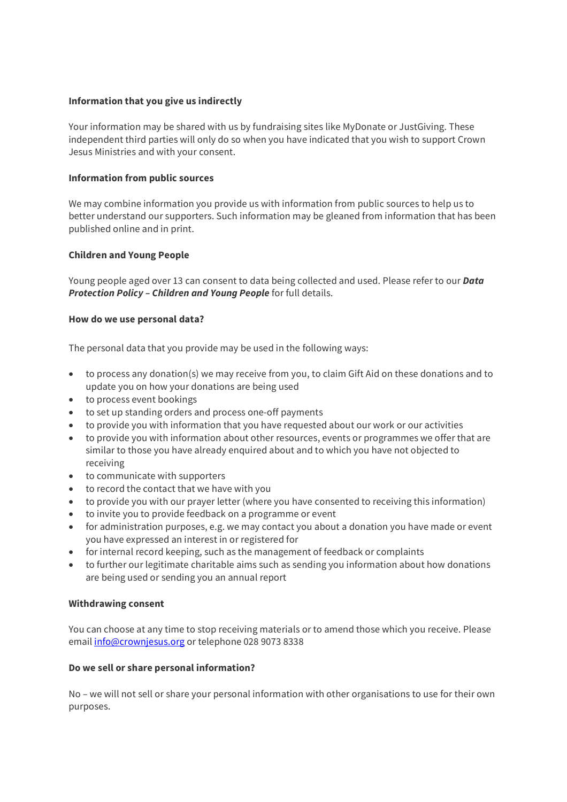## **Information that you give us indirectly**

Your information may be shared with us by fundraising sites like MyDonate or JustGiving. These independent third parties will only do so when you have indicated that you wish to support Crown Jesus Ministries and with your consent.

#### **Information from public sources**

We may combine information you provide us with information from public sources to help us to better understand our supporters. Such information may be gleaned from information that has been published online and in print.

## **Children and Young People**

Young people aged over 13 can consent to data being collected and used. Please refer to our *Data Protection Policy – Children and Young People* for full details.

#### **How do we use personal data?**

The personal data that you provide may be used in the following ways:

- to process any donation(s) we may receive from you, to claim Gift Aid on these donations and to update you on how your donations are being used
- to process event bookings
- to set up standing orders and process one-off payments
- to provide you with information that you have requested about our work or our activities
- to provide you with information about other resources, events or programmes we offer that are similar to those you have already enquired about and to which you have not objected to receiving
- to communicate with supporters
- to record the contact that we have with you
- to provide you with our prayer letter (where you have consented to receiving this information)
- to invite you to provide feedback on a programme or event
- for administration purposes, e.g. we may contact you about a donation you have made or event you have expressed an interest in or registered for
- for internal record keeping, such as the management of feedback or complaints
- to further our legitimate charitable aims such as sending you information about how donations are being used or sending you an annual report

#### **Withdrawing consent**

You can choose at any time to stop receiving materials or to amend those which you receive. Please email *info@crownjesus.org* or telephone 028 9073 8338

#### **Do we sell or share personal information?**

No – we will not sell or share your personal information with other organisations to use for their own purposes.